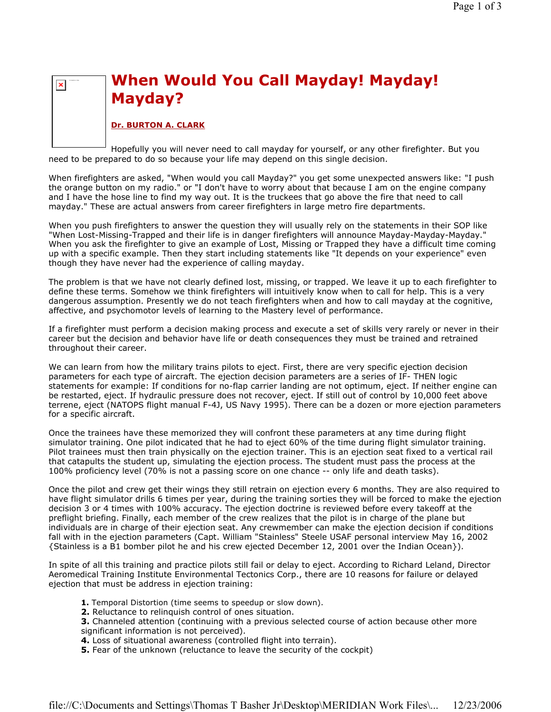# When Would You Call Mayday! Mayday! Mayday?

## Dr. BURTON A. CLARK

 $\pmb{\times}$ 

Hopefully you will never need to call mayday for yourself, or any other firefighter. But you need to be prepared to do so because your life may depend on this single decision.

When firefighters are asked, "When would you call Mayday?" you get some unexpected answers like: "I push the orange button on my radio." or "I don't have to worry about that because I am on the engine company and I have the hose line to find my way out. It is the truckees that go above the fire that need to call mayday." These are actual answers from career firefighters in large metro fire departments.

When you push firefighters to answer the question they will usually rely on the statements in their SOP like "When Lost-Missing-Trapped and their life is in danger firefighters will announce Mayday-Mayday-Mayday." When you ask the firefighter to give an example of Lost, Missing or Trapped they have a difficult time coming up with a specific example. Then they start including statements like "It depends on your experience" even though they have never had the experience of calling mayday.

The problem is that we have not clearly defined lost, missing, or trapped. We leave it up to each firefighter to define these terms. Somehow we think firefighters will intuitively know when to call for help. This is a very dangerous assumption. Presently we do not teach firefighters when and how to call mayday at the cognitive, affective, and psychomotor levels of learning to the Mastery level of performance.

If a firefighter must perform a decision making process and execute a set of skills very rarely or never in their career but the decision and behavior have life or death consequences they must be trained and retrained throughout their career.

We can learn from how the military trains pilots to eject. First, there are very specific ejection decision parameters for each type of aircraft. The ejection decision parameters are a series of IF- THEN logic statements for example: If conditions for no-flap carrier landing are not optimum, eject. If neither engine can be restarted, eject. If hydraulic pressure does not recover, eject. If still out of control by 10,000 feet above terrene, eject (NATOPS flight manual F-4J, US Navy 1995). There can be a dozen or more ejection parameters for a specific aircraft.

Once the trainees have these memorized they will confront these parameters at any time during flight simulator training. One pilot indicated that he had to eject 60% of the time during flight simulator training. Pilot trainees must then train physically on the ejection trainer. This is an ejection seat fixed to a vertical rail that catapults the student up, simulating the ejection process. The student must pass the process at the 100% proficiency level (70% is not a passing score on one chance -- only life and death tasks).

Once the pilot and crew get their wings they still retrain on ejection every 6 months. They are also required to have flight simulator drills 6 times per year, during the training sorties they will be forced to make the ejection decision 3 or 4 times with 100% accuracy. The ejection doctrine is reviewed before every takeoff at the preflight briefing. Finally, each member of the crew realizes that the pilot is in charge of the plane but individuals are in charge of their ejection seat. Any crewmember can make the ejection decision if conditions fall with in the ejection parameters (Capt. William "Stainless" Steele USAF personal interview May 16, 2002 {Stainless is a B1 bomber pilot he and his crew ejected December 12, 2001 over the Indian Ocean}).

In spite of all this training and practice pilots still fail or delay to eject. According to Richard Leland, Director Aeromedical Training Institute Environmental Tectonics Corp., there are 10 reasons for failure or delayed ejection that must be address in ejection training:

- 1. Temporal Distortion (time seems to speedup or slow down).
- 2. Reluctance to relinquish control of ones situation.
- **3.** Channeled attention (continuing with a previous selected course of action because other more significant information is not perceived).
- 4. Loss of situational awareness (controlled flight into terrain).
- 5. Fear of the unknown (reluctance to leave the security of the cockpit)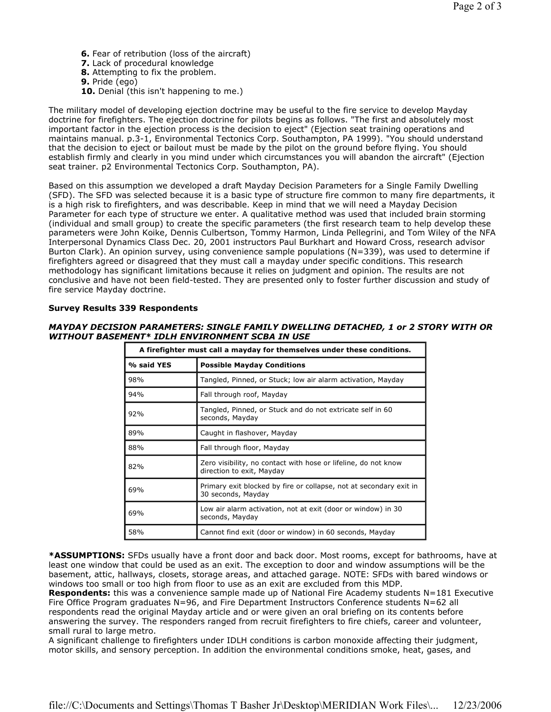- 6. Fear of retribution (loss of the aircraft)
- 7. Lack of procedural knowledge
- 8. Attempting to fix the problem.
- 9. Pride (ego)
- 10. Denial (this isn't happening to me.)

The military model of developing ejection doctrine may be useful to the fire service to develop Mayday doctrine for firefighters. The ejection doctrine for pilots begins as follows. "The first and absolutely most important factor in the ejection process is the decision to eject" (Ejection seat training operations and maintains manual. p.3-1, Environmental Tectonics Corp. Southampton, PA 1999). "You should understand that the decision to eject or bailout must be made by the pilot on the ground before flying. You should establish firmly and clearly in you mind under which circumstances you will abandon the aircraft" (Ejection seat trainer. p2 Environmental Tectonics Corp. Southampton, PA).

Based on this assumption we developed a draft Mayday Decision Parameters for a Single Family Dwelling (SFD). The SFD was selected because it is a basic type of structure fire common to many fire departments, it is a high risk to firefighters, and was describable. Keep in mind that we will need a Mayday Decision Parameter for each type of structure we enter. A qualitative method was used that included brain storming (individual and small group) to create the specific parameters (the first research team to help develop these parameters were John Koike, Dennis Culbertson, Tommy Harmon, Linda Pellegrini, and Tom Wiley of the NFA Interpersonal Dynamics Class Dec. 20, 2001 instructors Paul Burkhart and Howard Cross, research advisor Burton Clark). An opinion survey, using convenience sample populations (N=339), was used to determine if firefighters agreed or disagreed that they must call a mayday under specific conditions. This research methodology has significant limitations because it relies on judgment and opinion. The results are not conclusive and have not been field-tested. They are presented only to foster further discussion and study of fire service Mayday doctrine.

## Survey Results 339 Respondents

#### MAYDAY DECISION PARAMETERS: SINGLE FAMILY DWELLING DETACHED, 1 or 2 STORY WITH OR WITHOUT BASEMENT\* IDLH ENVIRONMENT SCBA IN USE

| A firefighter must call a mayday for themselves under these conditions. |                                                                                             |
|-------------------------------------------------------------------------|---------------------------------------------------------------------------------------------|
| % said YES                                                              | <b>Possible Mayday Conditions</b>                                                           |
| 98%                                                                     | Tangled, Pinned, or Stuck; low air alarm activation, Mayday                                 |
| 94%                                                                     | Fall through roof, Mayday                                                                   |
| 92%                                                                     | Tangled, Pinned, or Stuck and do not extricate self in 60<br>seconds, Mayday                |
| 89%                                                                     | Caught in flashover, Mayday                                                                 |
| 88%                                                                     | Fall through floor, Mayday                                                                  |
| 82%                                                                     | Zero visibility, no contact with hose or lifeline, do not know<br>direction to exit, Mayday |
| 69%                                                                     | Primary exit blocked by fire or collapse, not at secondary exit in<br>30 seconds, Mayday    |
| 69%                                                                     | Low air alarm activation, not at exit (door or window) in 30<br>seconds, Mayday             |
| 58%                                                                     | Cannot find exit (door or window) in 60 seconds, Mayday                                     |

\*ASSUMPTIONS: SFDs usually have a front door and back door. Most rooms, except for bathrooms, have at least one window that could be used as an exit. The exception to door and window assumptions will be the basement, attic, hallways, closets, storage areas, and attached garage. NOTE: SFDs with bared windows or windows too small or too high from floor to use as an exit are excluded from this MDP.

Respondents: this was a convenience sample made up of National Fire Academy students N=181 Executive Fire Office Program graduates N=96, and Fire Department Instructors Conference students N=62 all respondents read the original Mayday article and or were given an oral briefing on its contents before answering the survey. The responders ranged from recruit firefighters to fire chiefs, career and volunteer, small rural to large metro.

A significant challenge to firefighters under IDLH conditions is carbon monoxide affecting their judgment, motor skills, and sensory perception. In addition the environmental conditions smoke, heat, gases, and